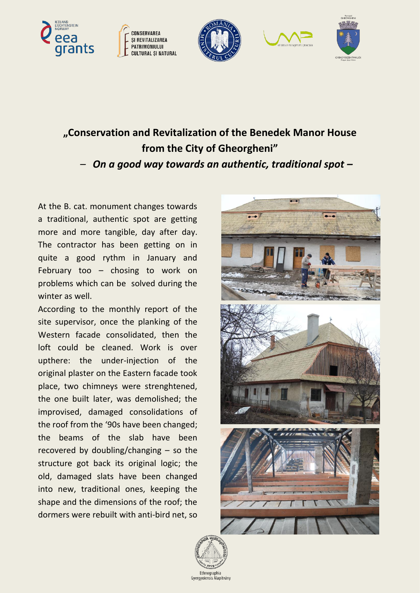









## **"Conservation and Revitalization of the Benedek Manor House from the City of Gheorgheni"**

*– On a good way towards an authentic, traditional spot –*

At the B. cat. monument changes towards a traditional, authentic spot are getting more and more tangible, day after day. The contractor has been getting on in quite a good rythm in January and February too – chosing to work on problems which can be solved during the winter as well.

According to the monthly report of the site supervisor, once the planking of the Western facade consolidated, then the loft could be cleaned. Work is over upthere: the under-injection of the original plaster on the Eastern facade took place, two chimneys were strenghtened, the one built later, was demolished; the improvised, damaged consolidations of the roof from the '90s have been changed; the beams of the slab have been recovered by doubling/changing – so the structure got back its original logic; the old, damaged slats have been changed into new, traditional ones, keeping the shape and the dimensions of the roof; the dormers were rebuilt with anti-bird net, so



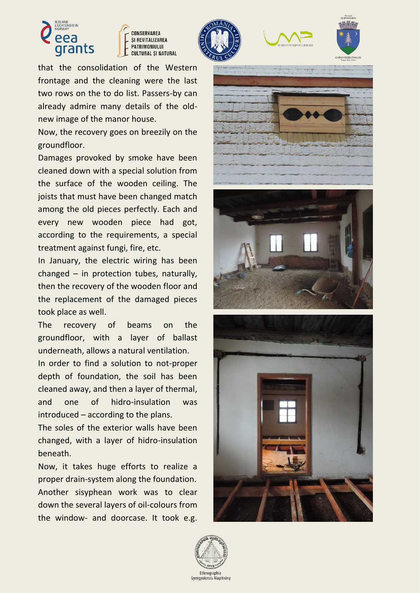



that the consolidation of the Western frontage and the cleaning were the last two rows on the to do list. Passers-by can already admire many details of the oldnew image of the manor house.

Now, the recovery goes on breezily on the groundfloor.

Damages provoked by smoke have been cleaned down with a special solution from the surface of the wooden ceiling. The joists that must have been changed match among the old pieces perfectly. Each and every new wooden piece had got, according to the requirements, a special treatment against fungi, fire, etc.

In January, the electric wiring has been changed – in protection tubes, naturally, then the recovery of the wooden floor and the replacement of the damaged pieces took place as well.

The recovery of beams on the groundfloor, with a layer of ballast underneath, allows a natural ventilation.

In order to find a solution to not-proper depth of foundation, the soil has been cleaned away, and then a layer of thermal, and one of hidro-insulation was introduced – according to the plans.

The soles of the exterior walls have been changed, with a layer of hidro-insulation beneath.

Now, it takes huge efforts to realize a proper drain-system along the foundation. Another sisyphean work was to clear down the several layers of oil-colours from the window- and doorcase. It took e.g.